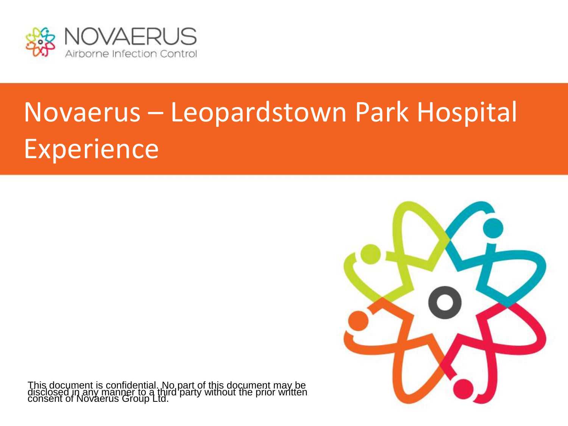

## Novaerus – Leopardstown Park Hospital Experience



This document is confidential. No part of this document may be disclosed in any manner to a third party without the prior written consent of Novaerus Group Ltd.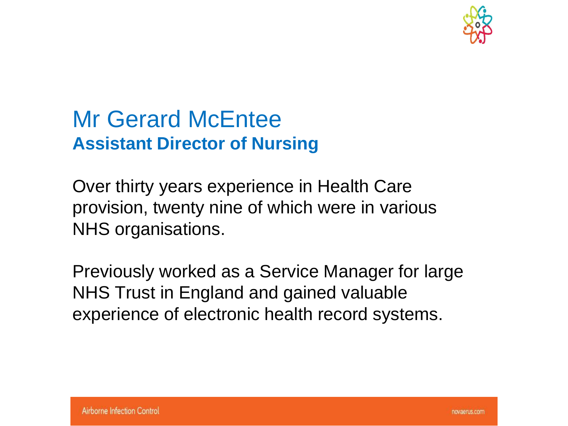

### Mr Gerard McEntee **Assistant Director of Nursing**

Over thirty years experience in Health Care provision, twenty nine of which were in various NHS organisations.

Previously worked as a Service Manager for large NHS Trust in England and gained valuable experience of electronic health record systems.

novaerus.com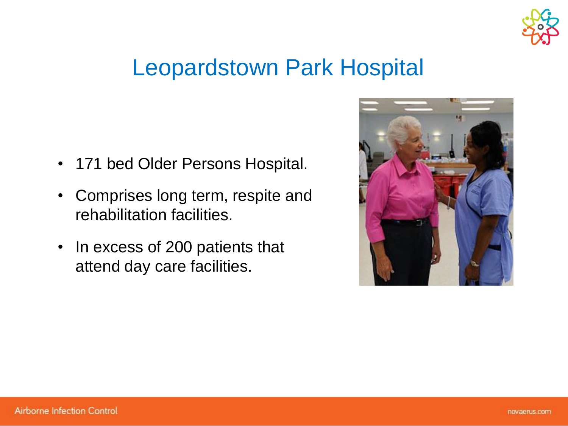

### Leopardstown Park Hospital

- 171 bed Older Persons Hospital.
- Comprises long term, respite and rehabilitation facilities.
- In excess of 200 patients that attend day care facilities.

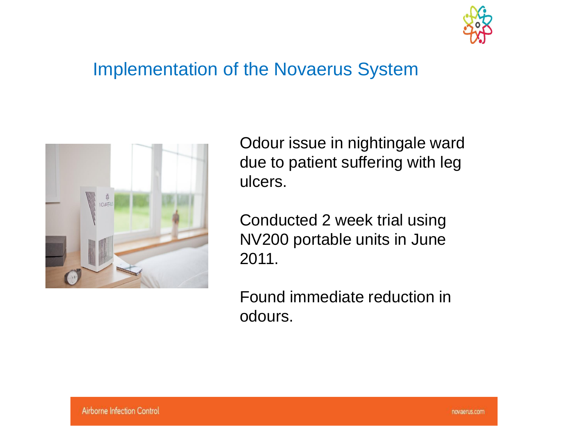

#### Implementation of the Novaerus System



Odour issue in nightingale ward due to patient suffering with leg ulcers.

Conducted 2 week trial using NV200 portable units in June 2011.

Found immediate reduction in odours.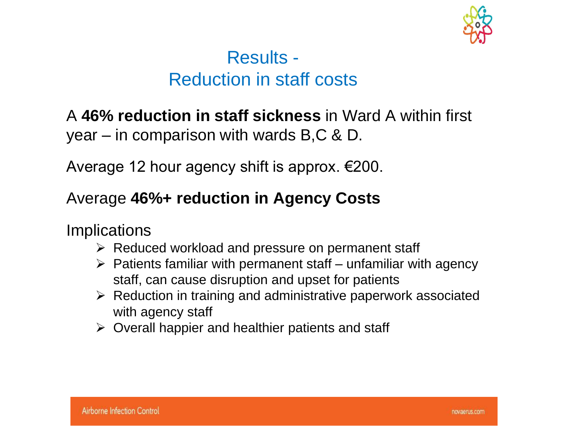

#### Results - Reduction in staff costs

#### A **46% reduction in staff sickness** in Ward A within first year – in comparison with wards B,C & D.

Average 12 hour agency shift is approx. €200.

#### Average **46%+ reduction in Agency Costs**

**Implications** 

- $\triangleright$  Reduced workload and pressure on permanent staff
- $\triangleright$  Patients familiar with permanent staff unfamiliar with agency staff, can cause disruption and upset for patients
- $\triangleright$  Reduction in training and administrative paperwork associated with agency staff
- $\triangleright$  Overall happier and healthier patients and staff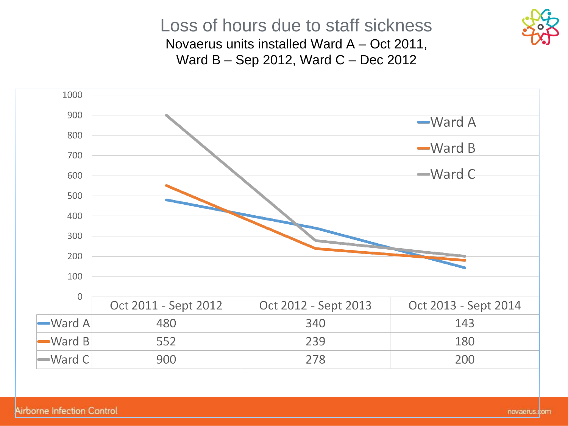

Loss of hours due to staff sickness Novaerus units installed Ward A – Oct 2011, Ward B – Sep 2012, Ward C – Dec 2012

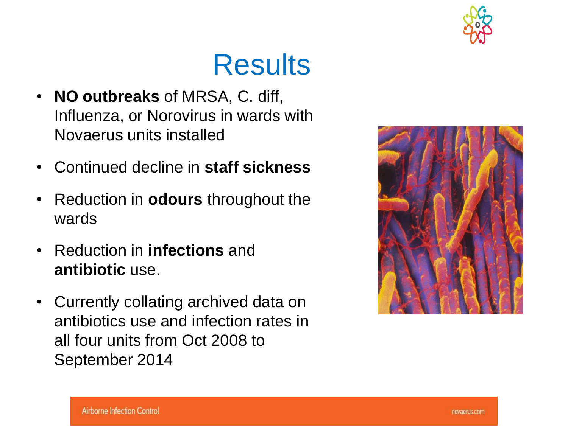

### Results

- **NO outbreaks** of MRSA, C. diff, Influenza, or Norovirus in wards with Novaerus units installed
- Continued decline in **staff sickness**
- Reduction in **odours** throughout the wards
- Reduction in **infections** and **antibiotic** use.
- Currently collating archived data on antibiotics use and infection rates in all four units from Oct 2008 to September 2014

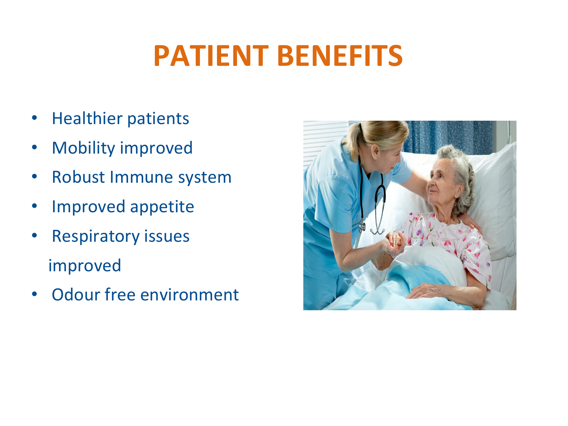## **PATIENT BENEFITS**

- Healthier patients
- Mobility improved
- Robust Immune system
- Improved appetite
- Respiratory issues improved
- Odour free environment